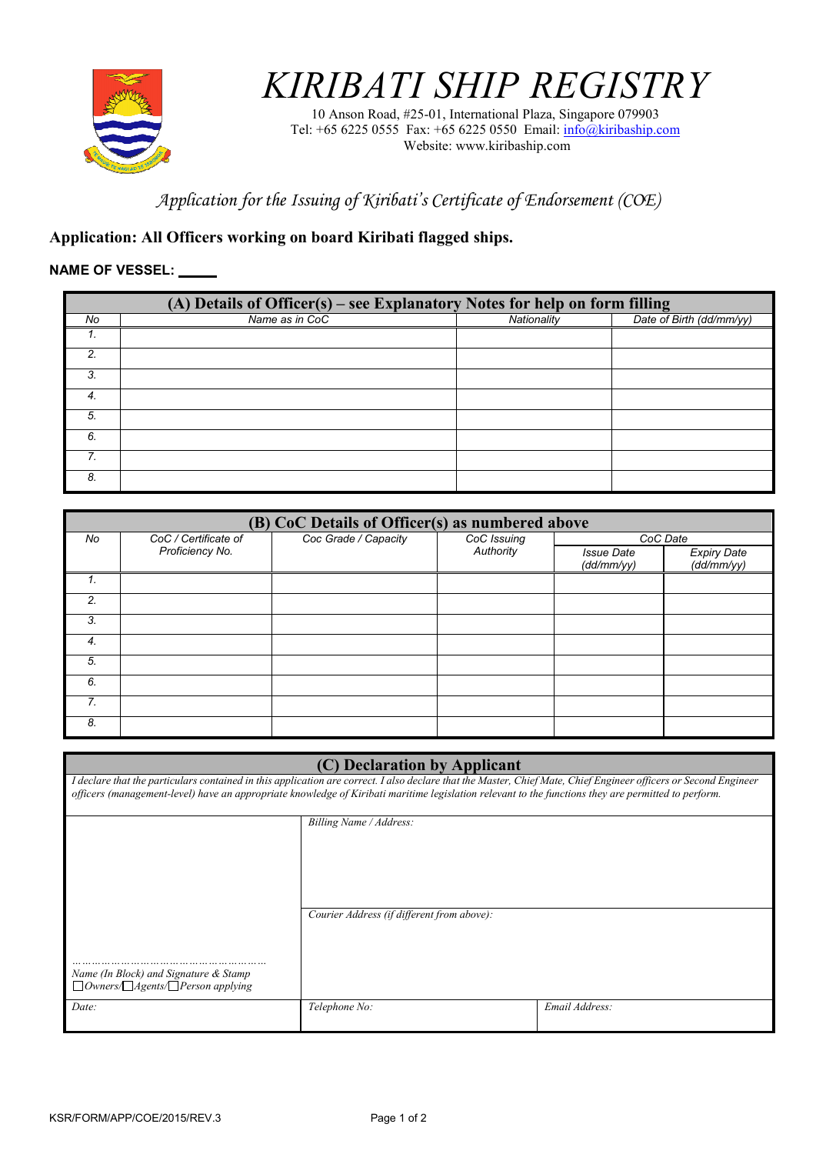

## *KIRIBATI SHIP REGISTRY*

10 Anson Road, #25-01, International Plaza, Singapore 079903 Tel: +65 6225 0555 Fax: +65 6225 0550 Email: info@kiribaship.com Website: www.kiribaship.com

*Application for the Issuing of Kiribati's Certificate of Endorsement (COE)* 

## **Application: All Officers working on board Kiribati flagged ships.**

## **NAME OF VESSEL:**

|    | (A) Details of Officer(s) – see Explanatory Notes for help on form filling |             |                          |  |  |
|----|----------------------------------------------------------------------------|-------------|--------------------------|--|--|
| No | Name as in CoC                                                             | Nationality | Date of Birth (dd/mm/yy) |  |  |
| Ι. |                                                                            |             |                          |  |  |
| っ  |                                                                            |             |                          |  |  |
| 3. |                                                                            |             |                          |  |  |
| 4. |                                                                            |             |                          |  |  |
| 5. |                                                                            |             |                          |  |  |
| 6. |                                                                            |             |                          |  |  |
| 7  |                                                                            |             |                          |  |  |
| 8. |                                                                            |             |                          |  |  |

| (B) CoC Details of Officer(s) as numbered above |                      |                      |                          |                                 |                                  |
|-------------------------------------------------|----------------------|----------------------|--------------------------|---------------------------------|----------------------------------|
| No                                              | CoC / Certificate of | Coc Grade / Capacity | CoC Issuing<br>Authority | CoC Date                        |                                  |
|                                                 | Proficiency No.      |                      |                          | <b>Issue Date</b><br>(dd/mm/yy) | <b>Expiry Date</b><br>(dd/mm/yy) |
|                                                 |                      |                      |                          |                                 |                                  |
| 2.                                              |                      |                      |                          |                                 |                                  |
| $\mathbf{3}$                                    |                      |                      |                          |                                 |                                  |
| 4.                                              |                      |                      |                          |                                 |                                  |
| 5.                                              |                      |                      |                          |                                 |                                  |
| 6.                                              |                      |                      |                          |                                 |                                  |
| 7.                                              |                      |                      |                          |                                 |                                  |
| 8.                                              |                      |                      |                          |                                 |                                  |

| (C) Declaration by Applicant                                                                                                                                                                                                                                                                                            |                                            |                |  |
|-------------------------------------------------------------------------------------------------------------------------------------------------------------------------------------------------------------------------------------------------------------------------------------------------------------------------|--------------------------------------------|----------------|--|
| I declare that the particulars contained in this application are correct. I also declare that the Master, Chief Mate, Chief Engineer officers or Second Engineer<br>officers (management-level) have an appropriate knowledge of Kiribati maritime legislation relevant to the functions they are permitted to perform. |                                            |                |  |
|                                                                                                                                                                                                                                                                                                                         | Billing Name / Address:                    |                |  |
| Name (In Block) and Signature & Stamp<br>$\Box$ Owners/ $\Box$ Agents/ $\Box$ Person applying                                                                                                                                                                                                                           | Courier Address (if different from above): |                |  |
| Date:                                                                                                                                                                                                                                                                                                                   | Telephone No:                              | Email Address: |  |